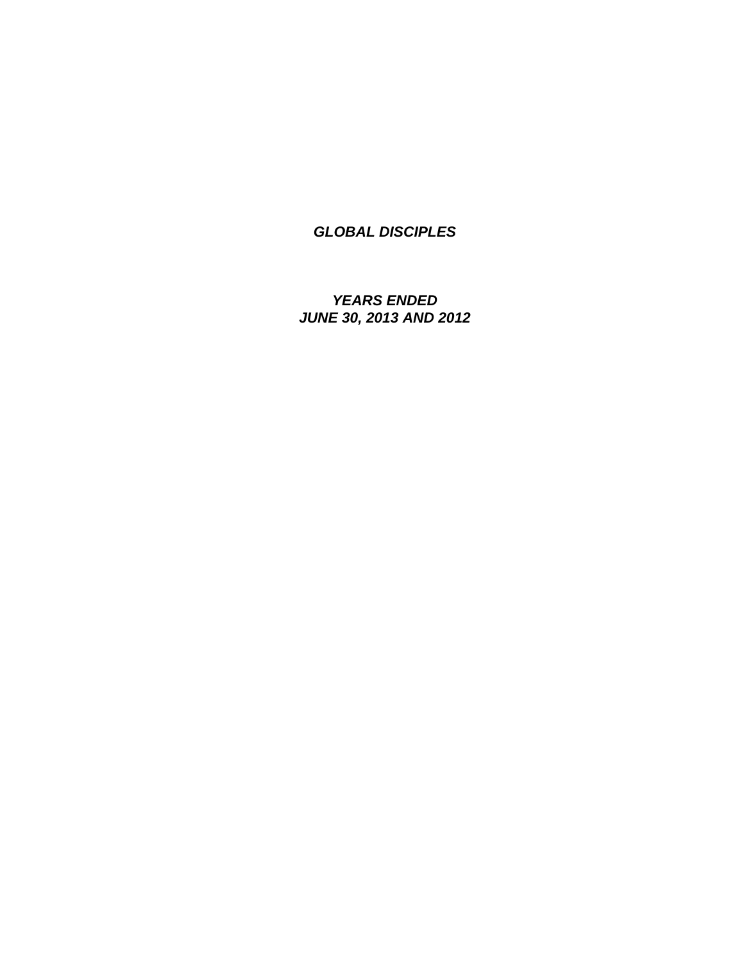*YEARS ENDED JUNE 30, 2013 AND 2012*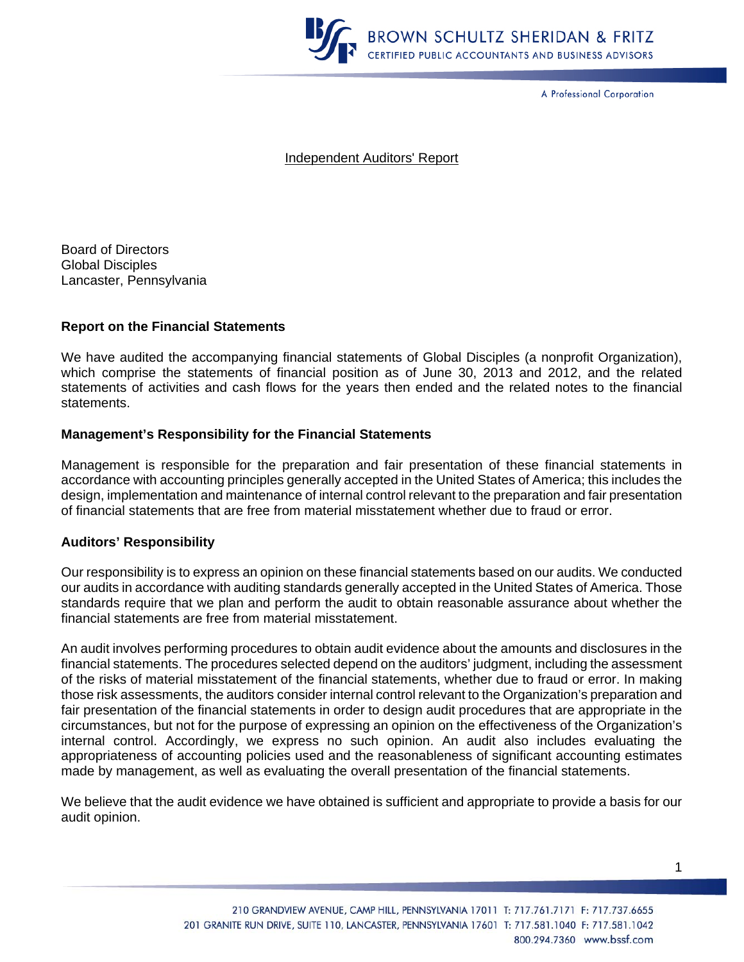

A Professional Corporation

### Independent Auditors' Report

Board of Directors Global Disciples Lancaster, Pennsylvania

### **Report on the Financial Statements**

We have audited the accompanying financial statements of Global Disciples (a nonprofit Organization), which comprise the statements of financial position as of June 30, 2013 and 2012, and the related statements of activities and cash flows for the years then ended and the related notes to the financial statements.

### **Management's Responsibility for the Financial Statements**

Management is responsible for the preparation and fair presentation of these financial statements in accordance with accounting principles generally accepted in the United States of America; this includes the design, implementation and maintenance of internal control relevant to the preparation and fair presentation of financial statements that are free from material misstatement whether due to fraud or error.

#### **Auditors' Responsibility**

Our responsibility is to express an opinion on these financial statements based on our audits. We conducted our audits in accordance with auditing standards generally accepted in the United States of America. Those standards require that we plan and perform the audit to obtain reasonable assurance about whether the financial statements are free from material misstatement.

An audit involves performing procedures to obtain audit evidence about the amounts and disclosures in the financial statements. The procedures selected depend on the auditors' judgment, including the assessment of the risks of material misstatement of the financial statements, whether due to fraud or error. In making those risk assessments, the auditors consider internal control relevant to the Organization's preparation and fair presentation of the financial statements in order to design audit procedures that are appropriate in the circumstances, but not for the purpose of expressing an opinion on the effectiveness of the Organization's internal control. Accordingly, we express no such opinion. An audit also includes evaluating the appropriateness of accounting policies used and the reasonableness of significant accounting estimates made by management, as well as evaluating the overall presentation of the financial statements.

We believe that the audit evidence we have obtained is sufficient and appropriate to provide a basis for our audit opinion.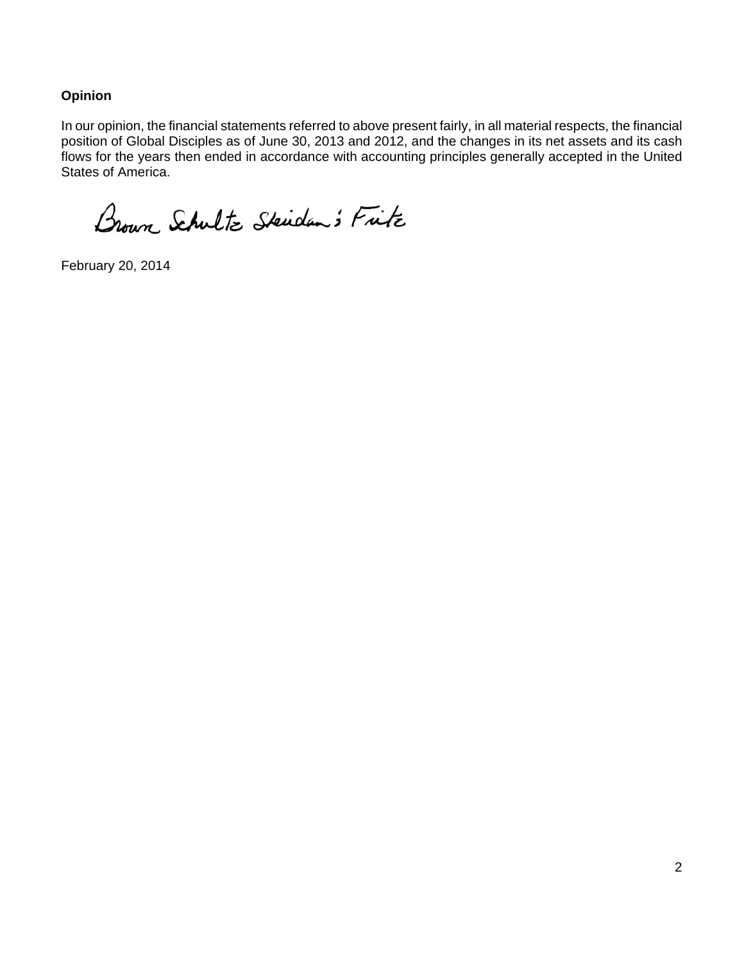## **Opinion**

In our opinion, the financial statements referred to above present fairly, in all material respects, the financial position of Global Disciples as of June 30, 2013 and 2012, and the changes in its net assets and its cash flows for the years then ended in accordance with accounting principles generally accepted in the United States of America.

Brown Schultz Skiden's Fitz

February 20, 2014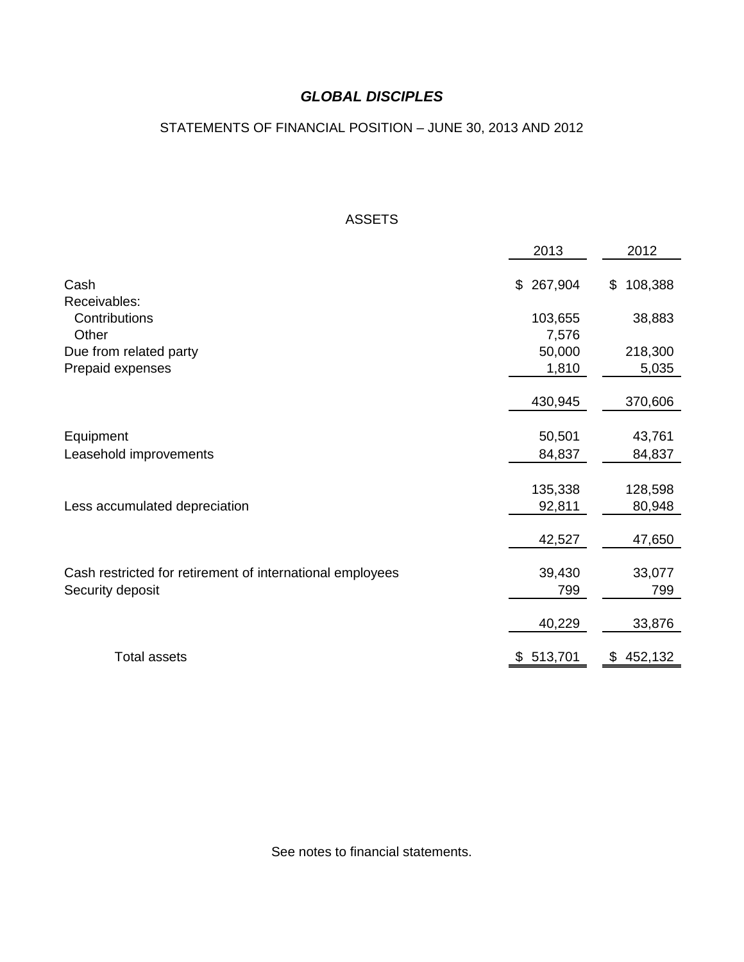## STATEMENTS OF FINANCIAL POSITION – JUNE 30, 2013 AND 2012

### ASSETS

|                                                           | 2013              | 2012              |
|-----------------------------------------------------------|-------------------|-------------------|
| Cash                                                      | 267,904<br>\$     | 108,388<br>\$     |
| Receivables:                                              |                   |                   |
| Contributions<br>Other                                    | 103,655           | 38,883            |
| Due from related party                                    | 7,576<br>50,000   | 218,300           |
| Prepaid expenses                                          | 1,810             | 5,035             |
|                                                           |                   |                   |
|                                                           | 430,945           | 370,606           |
|                                                           |                   |                   |
| Equipment                                                 | 50,501            | 43,761            |
| Leasehold improvements                                    | 84,837            | 84,837            |
|                                                           |                   |                   |
| Less accumulated depreciation                             | 135,338<br>92,811 | 128,598<br>80,948 |
|                                                           |                   |                   |
|                                                           | 42,527            | 47,650            |
| Cash restricted for retirement of international employees | 39,430            | 33,077            |
| Security deposit                                          | 799               | 799               |
|                                                           |                   |                   |
|                                                           | 40,229            | 33,876            |
| <b>Total assets</b>                                       | 513,701<br>\$     | 452,132<br>\$     |

See notes to financial statements.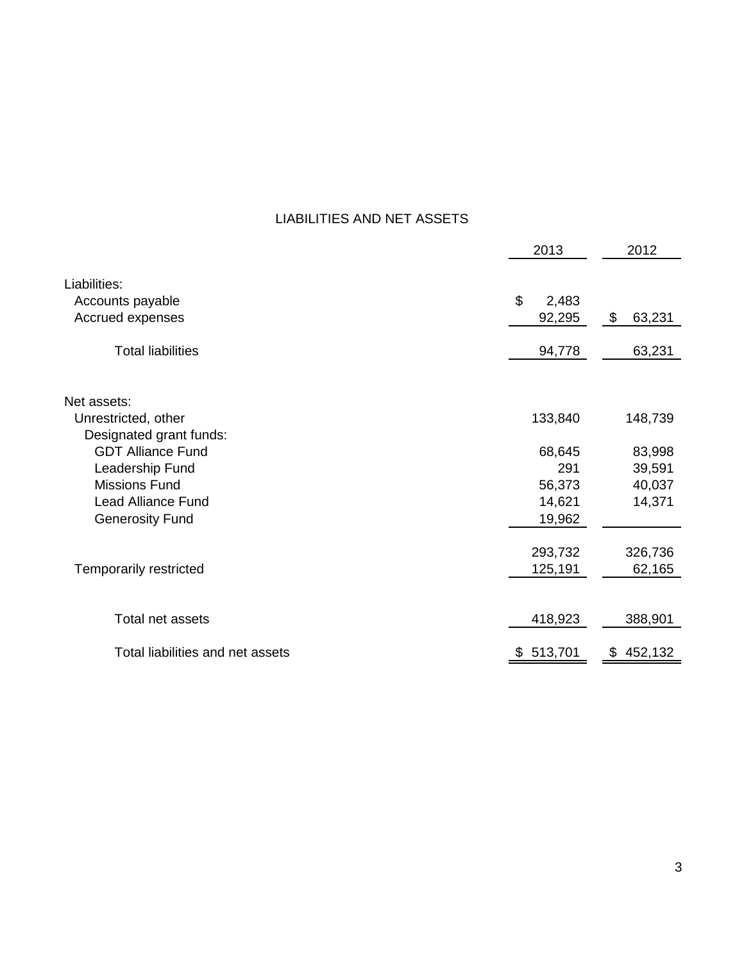## LIABILITIES AND NET ASSETS

|                                                                                                                                                                                             | 2013                                                   | 2012                                            |
|---------------------------------------------------------------------------------------------------------------------------------------------------------------------------------------------|--------------------------------------------------------|-------------------------------------------------|
| Liabilities:<br>Accounts payable<br>Accrued expenses                                                                                                                                        | \$<br>2,483<br>92,295                                  | \$<br>63,231                                    |
| <b>Total liabilities</b>                                                                                                                                                                    | 94,778                                                 | 63,231                                          |
| Net assets:<br>Unrestricted, other<br>Designated grant funds:<br><b>GDT Alliance Fund</b><br>Leadership Fund<br><b>Missions Fund</b><br><b>Lead Alliance Fund</b><br><b>Generosity Fund</b> | 133,840<br>68,645<br>291<br>56,373<br>14,621<br>19,962 | 148,739<br>83,998<br>39,591<br>40,037<br>14,371 |
| <b>Temporarily restricted</b>                                                                                                                                                               | 293,732<br>125,191                                     | 326,736<br>62,165                               |
| Total net assets                                                                                                                                                                            | 418,923                                                | 388,901                                         |
| Total liabilities and net assets                                                                                                                                                            | \$513,701                                              | 452,132<br>\$                                   |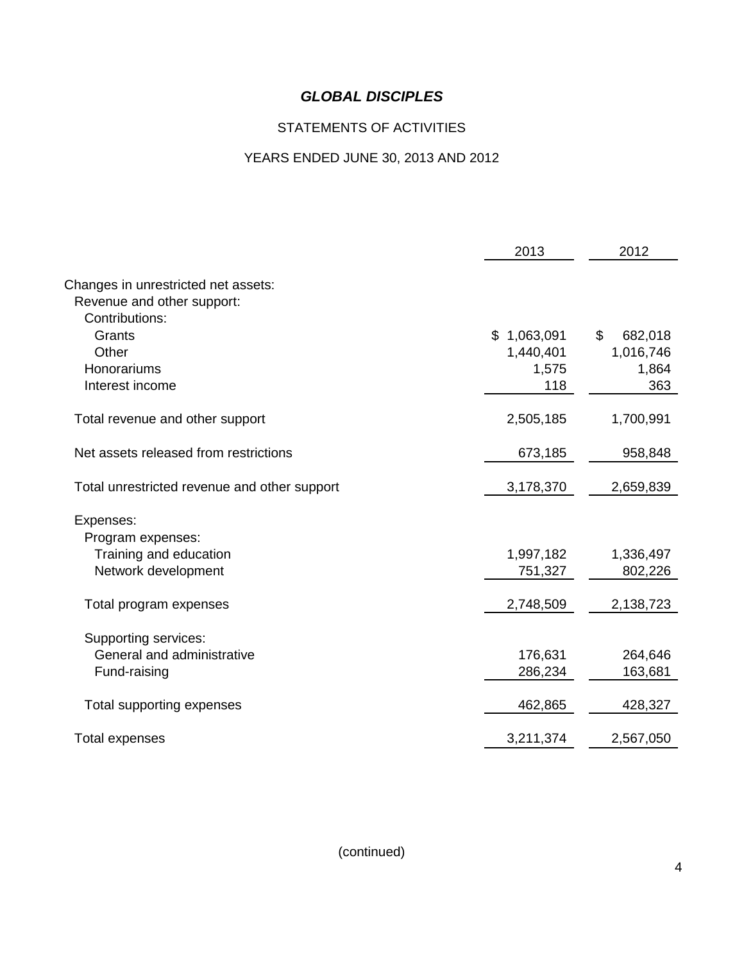## STATEMENTS OF ACTIVITIES

## YEARS ENDED JUNE 30, 2013 AND 2012

|                                              | 2013        | 2012          |
|----------------------------------------------|-------------|---------------|
|                                              |             |               |
| Changes in unrestricted net assets:          |             |               |
| Revenue and other support:<br>Contributions: |             |               |
| Grants                                       | \$1,063,091 | \$<br>682,018 |
| Other                                        | 1,440,401   | 1,016,746     |
| Honorariums                                  | 1,575       | 1,864         |
| Interest income                              | 118         | 363           |
| Total revenue and other support              | 2,505,185   | 1,700,991     |
| Net assets released from restrictions        | 673,185     | 958,848       |
| Total unrestricted revenue and other support | 3,178,370   | 2,659,839     |
| Expenses:                                    |             |               |
| Program expenses:                            |             |               |
| Training and education                       | 1,997,182   | 1,336,497     |
| Network development                          | 751,327     | 802,226       |
| Total program expenses                       | 2,748,509   | 2,138,723     |
| Supporting services:                         |             |               |
| General and administrative                   | 176,631     | 264,646       |
| Fund-raising                                 | 286,234     | 163,681       |
| Total supporting expenses                    | 462,865     | 428,327       |
| <b>Total expenses</b>                        | 3,211,374   | 2,567,050     |
|                                              |             |               |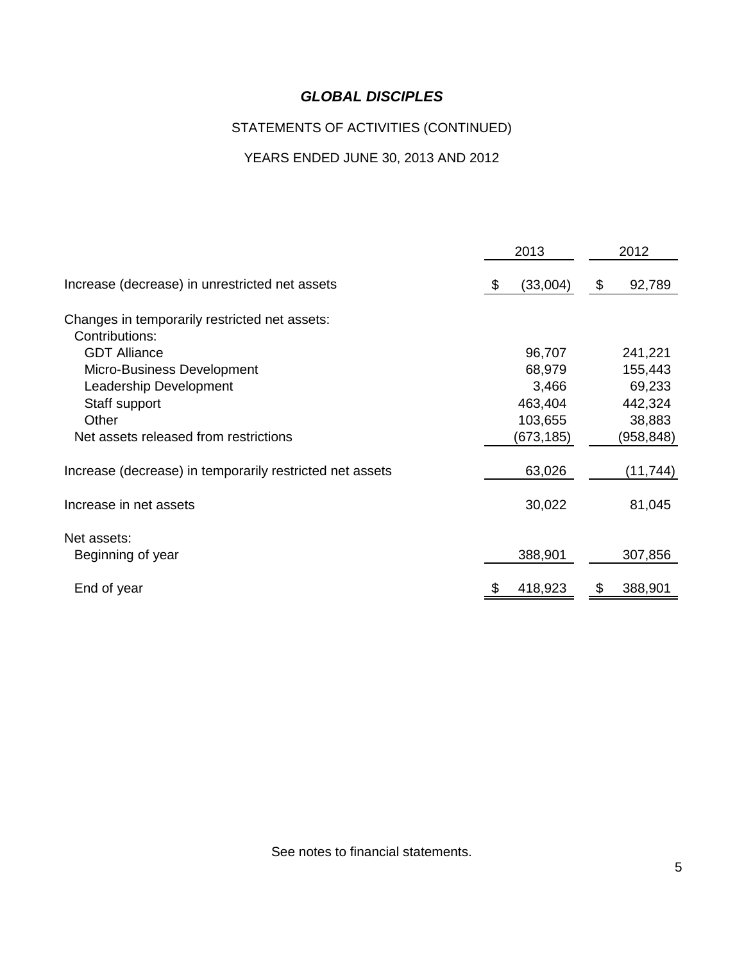# STATEMENTS OF ACTIVITIES (CONTINUED)

## YEARS ENDED JUNE 30, 2013 AND 2012

|                                                          | 2013           | 2012          |
|----------------------------------------------------------|----------------|---------------|
| Increase (decrease) in unrestricted net assets           | (33,004)<br>\$ | 92,789<br>\$  |
| Changes in temporarily restricted net assets:            |                |               |
| Contributions:                                           |                |               |
| <b>GDT Alliance</b>                                      | 96,707         | 241,221       |
| Micro-Business Development                               | 68,979         | 155,443       |
| Leadership Development                                   | 3,466          | 69,233        |
| Staff support                                            | 463,404        | 442,324       |
| Other                                                    | 103,655        | 38,883        |
| Net assets released from restrictions                    | (673,185)      | (958,848)     |
| Increase (decrease) in temporarily restricted net assets | 63,026         | (11, 744)     |
| Increase in net assets                                   | 30,022         | 81,045        |
| Net assets:                                              |                |               |
| Beginning of year                                        | 388,901        | 307,856       |
| End of year                                              | 418,923        | 388,901<br>\$ |

See notes to financial statements.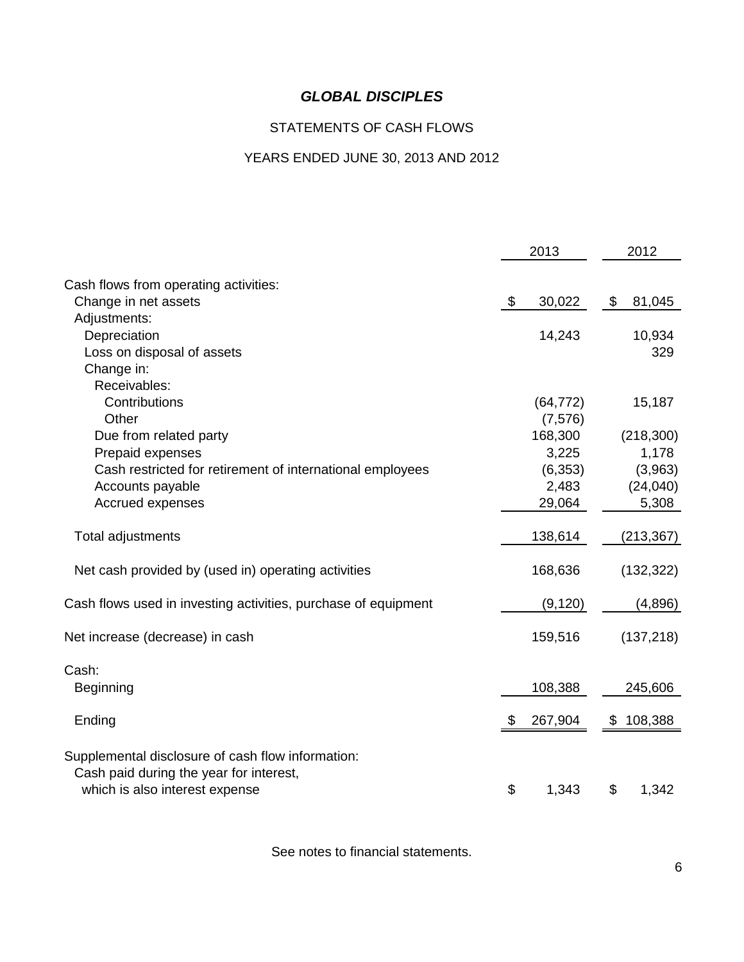## STATEMENTS OF CASH FLOWS

## YEARS ENDED JUNE 30, 2013 AND 2012

|                                                                |                            | 2013      | 2012          |
|----------------------------------------------------------------|----------------------------|-----------|---------------|
|                                                                |                            |           |               |
| Cash flows from operating activities:                          |                            |           |               |
| Change in net assets                                           | $\boldsymbol{\mathsf{\$}}$ | 30,022    | \$<br>81,045  |
| Adjustments:                                                   |                            |           |               |
| Depreciation                                                   |                            | 14,243    | 10,934        |
| Loss on disposal of assets                                     |                            |           | 329           |
| Change in:                                                     |                            |           |               |
| Receivables:                                                   |                            |           |               |
| Contributions                                                  |                            | (64, 772) | 15,187        |
| Other                                                          |                            | (7, 576)  |               |
| Due from related party                                         |                            | 168,300   | (218, 300)    |
| Prepaid expenses                                               |                            | 3,225     | 1,178         |
| Cash restricted for retirement of international employees      |                            | (6, 353)  | (3,963)       |
| Accounts payable                                               |                            | 2,483     | (24, 040)     |
| Accrued expenses                                               |                            | 29,064    | 5,308         |
| Total adjustments                                              |                            | 138,614   | (213, 367)    |
| Net cash provided by (used in) operating activities            |                            | 168,636   | (132, 322)    |
| Cash flows used in investing activities, purchase of equipment |                            | (9, 120)  | (4,896)       |
| Net increase (decrease) in cash                                |                            | 159,516   | (137, 218)    |
| Cash:                                                          |                            |           |               |
| <b>Beginning</b>                                               |                            | 108,388   | 245,606       |
|                                                                |                            |           |               |
| Ending                                                         | $\frac{1}{2}$              | 267,904   | \$<br>108,388 |
| Supplemental disclosure of cash flow information:              |                            |           |               |
| Cash paid during the year for interest,                        |                            |           |               |
| which is also interest expense                                 | \$                         | 1,343     | \$<br>1,342   |

See notes to financial statements.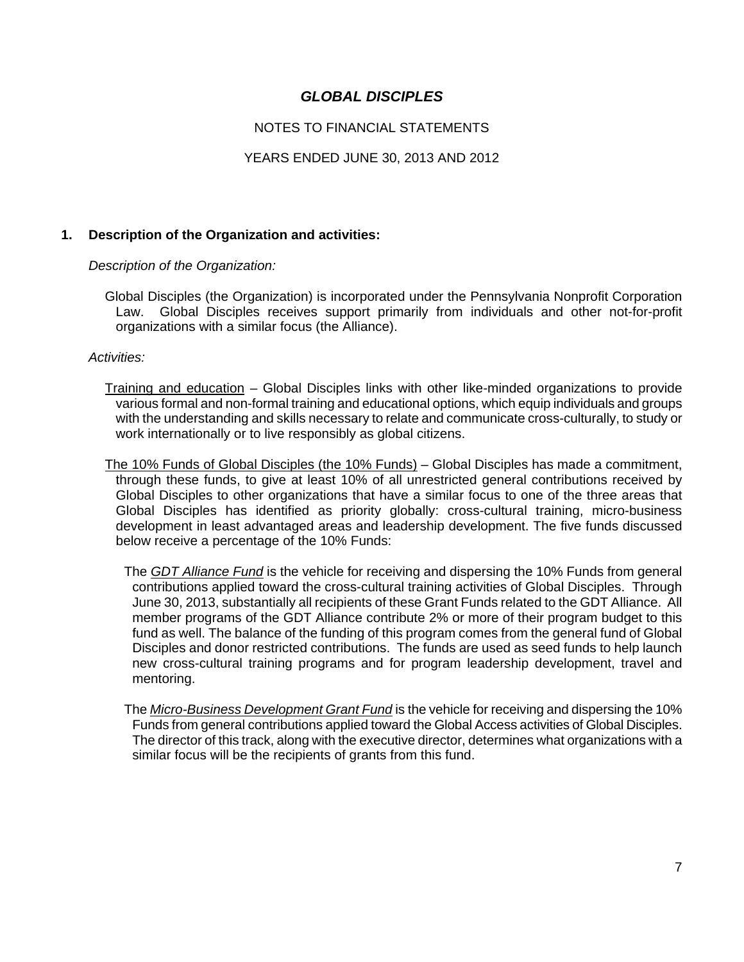### NOTES TO FINANCIAL STATEMENTS

### YEARS ENDED JUNE 30, 2013 AND 2012

### **1. Description of the Organization and activities:**

*Description of the Organization:* 

 Global Disciples (the Organization) is incorporated under the Pennsylvania Nonprofit Corporation Law. Global Disciples receives support primarily from individuals and other not-for-profit organizations with a similar focus (the Alliance).

*Activities:* 

- Training and education Global Disciples links with other like-minded organizations to provide various formal and non-formal training and educational options, which equip individuals and groups with the understanding and skills necessary to relate and communicate cross-culturally, to study or work internationally or to live responsibly as global citizens.
- The 10% Funds of Global Disciples (the 10% Funds) Global Disciples has made a commitment, through these funds, to give at least 10% of all unrestricted general contributions received by Global Disciples to other organizations that have a similar focus to one of the three areas that Global Disciples has identified as priority globally: cross-cultural training, micro-business development in least advantaged areas and leadership development. The five funds discussed below receive a percentage of the 10% Funds:
	- The *GDT Alliance Fund* is the vehicle for receiving and dispersing the 10% Funds from general contributions applied toward the cross-cultural training activities of Global Disciples. Through June 30, 2013, substantially all recipients of these Grant Funds related to the GDT Alliance. All member programs of the GDT Alliance contribute 2% or more of their program budget to this fund as well. The balance of the funding of this program comes from the general fund of Global Disciples and donor restricted contributions. The funds are used as seed funds to help launch new cross-cultural training programs and for program leadership development, travel and mentoring.
	- The *Micro-Business Development Grant Fund* is the vehicle for receiving and dispersing the 10% Funds from general contributions applied toward the Global Access activities of Global Disciples. The director of this track, along with the executive director, determines what organizations with a similar focus will be the recipients of grants from this fund.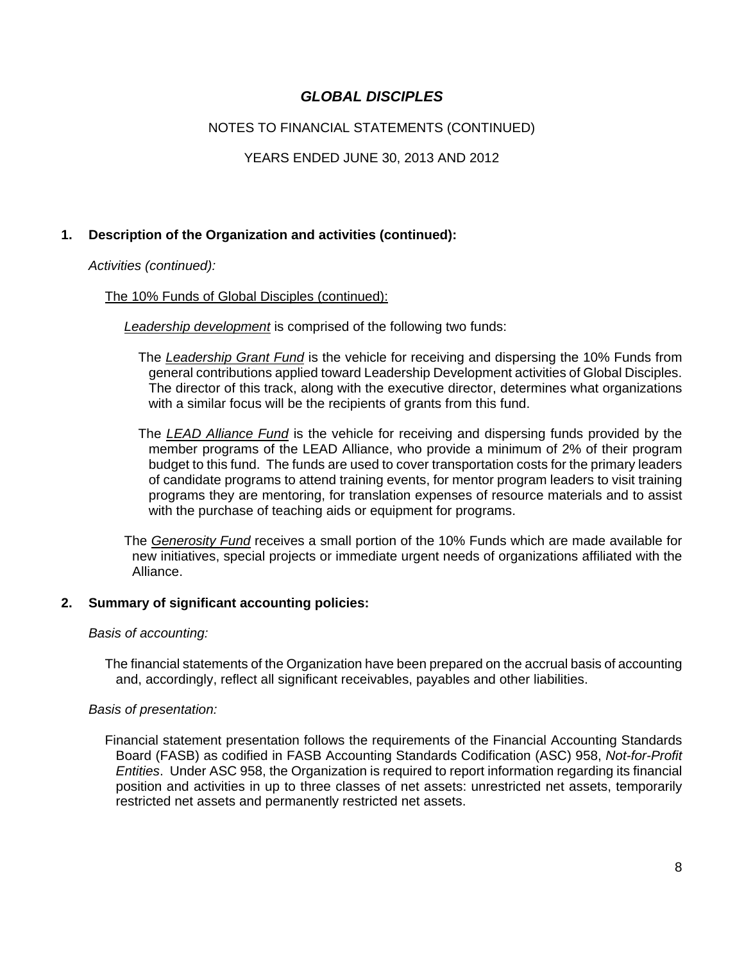### NOTES TO FINANCIAL STATEMENTS (CONTINUED)

### YEARS ENDED JUNE 30, 2013 AND 2012

### **1. Description of the Organization and activities (continued):**

*Activities (continued):* 

### The 10% Funds of Global Disciples (continued):

*Leadership development* is comprised of the following two funds:

 The *Leadership Grant Fund* is the vehicle for receiving and dispersing the 10% Funds from general contributions applied toward Leadership Development activities of Global Disciples. The director of this track, along with the executive director, determines what organizations with a similar focus will be the recipients of grants from this fund.

 The *LEAD Alliance Fund* is the vehicle for receiving and dispersing funds provided by the member programs of the LEAD Alliance, who provide a minimum of 2% of their program budget to this fund. The funds are used to cover transportation costs for the primary leaders of candidate programs to attend training events, for mentor program leaders to visit training programs they are mentoring, for translation expenses of resource materials and to assist with the purchase of teaching aids or equipment for programs.

 The *Generosity Fund* receives a small portion of the 10% Funds which are made available for new initiatives, special projects or immediate urgent needs of organizations affiliated with the Alliance.

#### **2. Summary of significant accounting policies:**

#### *Basis of accounting:*

 The financial statements of the Organization have been prepared on the accrual basis of accounting and, accordingly, reflect all significant receivables, payables and other liabilities.

#### *Basis of presentation:*

 Financial statement presentation follows the requirements of the Financial Accounting Standards Board (FASB) as codified in FASB Accounting Standards Codification (ASC) 958, *Not-for-Profit Entities*. Under ASC 958, the Organization is required to report information regarding its financial position and activities in up to three classes of net assets: unrestricted net assets, temporarily restricted net assets and permanently restricted net assets.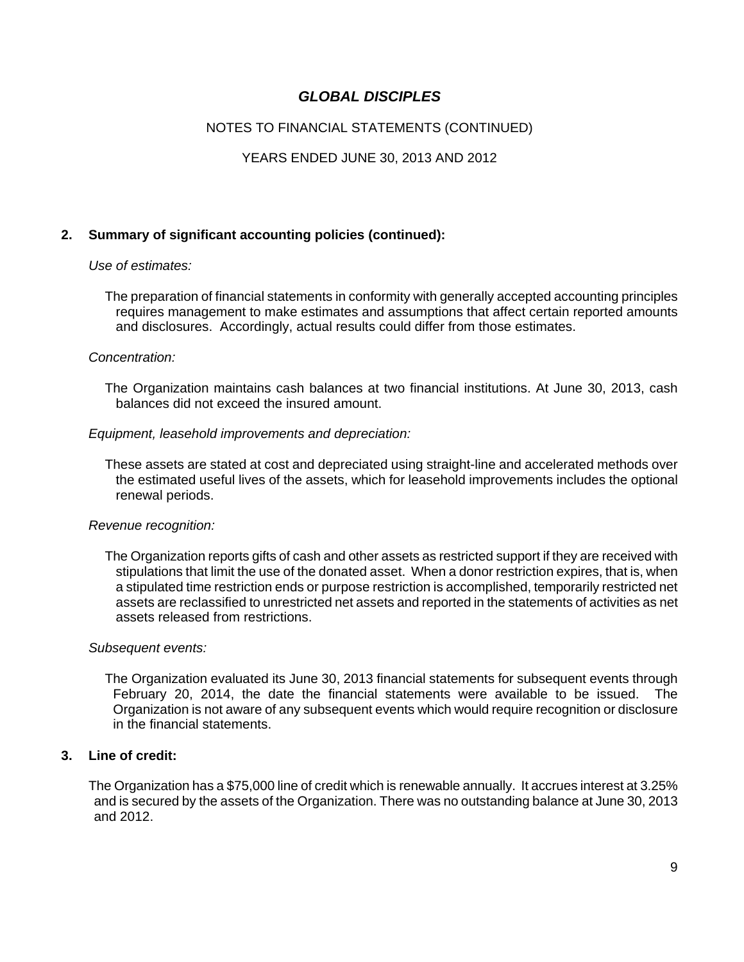### NOTES TO FINANCIAL STATEMENTS (CONTINUED)

### YEARS ENDED JUNE 30, 2013 AND 2012

### **2. Summary of significant accounting policies (continued):**

#### *Use of estimates:*

 The preparation of financial statements in conformity with generally accepted accounting principles requires management to make estimates and assumptions that affect certain reported amounts and disclosures. Accordingly, actual results could differ from those estimates.

#### *Concentration:*

 The Organization maintains cash balances at two financial institutions. At June 30, 2013, cash balances did not exceed the insured amount.

#### *Equipment, leasehold improvements and depreciation:*

 These assets are stated at cost and depreciated using straight-line and accelerated methods over the estimated useful lives of the assets, which for leasehold improvements includes the optional renewal periods.

#### *Revenue recognition:*

 The Organization reports gifts of cash and other assets as restricted support if they are received with stipulations that limit the use of the donated asset. When a donor restriction expires, that is, when a stipulated time restriction ends or purpose restriction is accomplished, temporarily restricted net assets are reclassified to unrestricted net assets and reported in the statements of activities as net assets released from restrictions.

#### *Subsequent events:*

 The Organization evaluated its June 30, 2013 financial statements for subsequent events through February 20, 2014, the date the financial statements were available to be issued. The Organization is not aware of any subsequent events which would require recognition or disclosure in the financial statements.

### **3. Line of credit:**

 The Organization has a \$75,000 line of credit which is renewable annually. It accrues interest at 3.25% and is secured by the assets of the Organization. There was no outstanding balance at June 30, 2013 and 2012.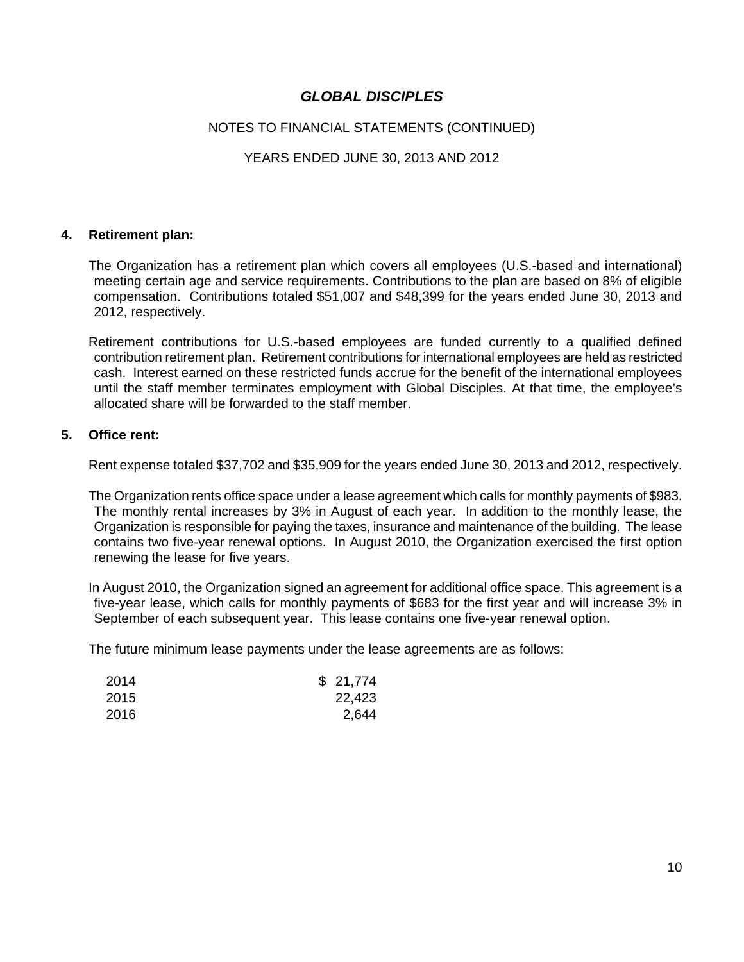### NOTES TO FINANCIAL STATEMENTS (CONTINUED)

### YEARS ENDED JUNE 30, 2013 AND 2012

#### **4. Retirement plan:**

 The Organization has a retirement plan which covers all employees (U.S.-based and international) meeting certain age and service requirements. Contributions to the plan are based on 8% of eligible compensation. Contributions totaled \$51,007 and \$48,399 for the years ended June 30, 2013 and 2012, respectively.

 Retirement contributions for U.S.-based employees are funded currently to a qualified defined contribution retirement plan. Retirement contributions for international employees are held as restricted cash. Interest earned on these restricted funds accrue for the benefit of the international employees until the staff member terminates employment with Global Disciples. At that time, the employee's allocated share will be forwarded to the staff member.

### **5. Office rent:**

Rent expense totaled \$37,702 and \$35,909 for the years ended June 30, 2013 and 2012, respectively.

 The Organization rents office space under a lease agreement which calls for monthly payments of \$983. The monthly rental increases by 3% in August of each year. In addition to the monthly lease, the Organization is responsible for paying the taxes, insurance and maintenance of the building. The lease contains two five-year renewal options. In August 2010, the Organization exercised the first option renewing the lease for five years.

 In August 2010, the Organization signed an agreement for additional office space. This agreement is a five-year lease, which calls for monthly payments of \$683 for the first year and will increase 3% in September of each subsequent year. This lease contains one five-year renewal option.

The future minimum lease payments under the lease agreements are as follows:

| 2014 | \$21,774 |
|------|----------|
| 2015 | 22,423   |
| 2016 | 2,644    |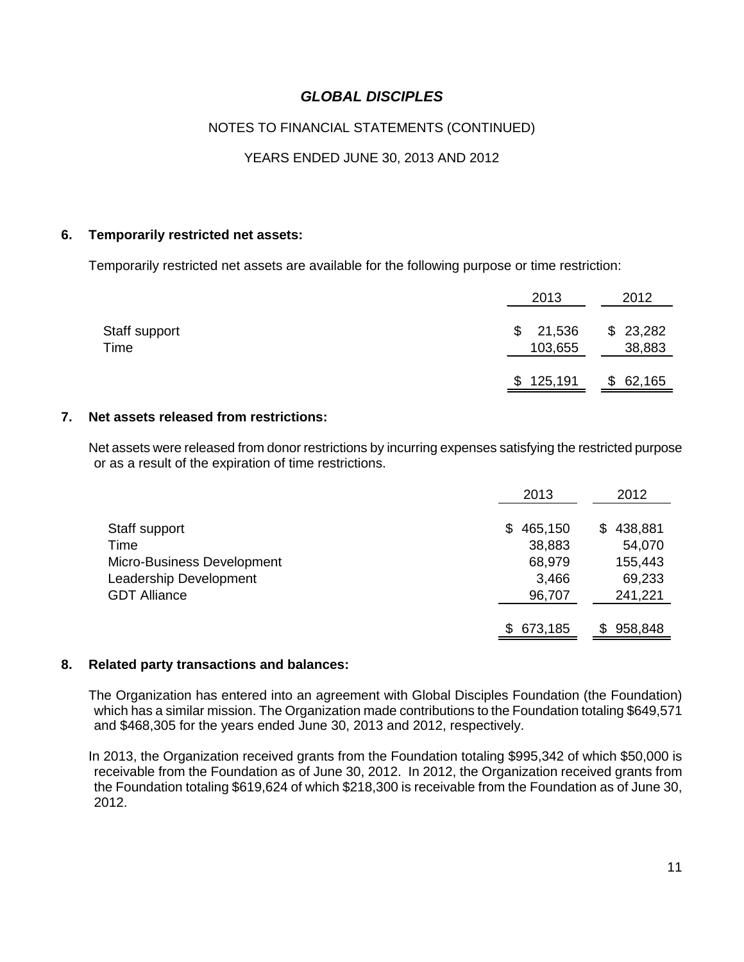### NOTES TO FINANCIAL STATEMENTS (CONTINUED)

### YEARS ENDED JUNE 30, 2013 AND 2012

### **6. Temporarily restricted net assets:**

Temporarily restricted net assets are available for the following purpose or time restriction:

|                       | 2013                    | 2012               |
|-----------------------|-------------------------|--------------------|
| Staff support<br>Time | 21,536<br>\$<br>103,655 | \$23,282<br>38,883 |
|                       | 125,191<br>\$           | 62,165<br>\$       |

### **7. Net assets released from restrictions:**

 Net assets were released from donor restrictions by incurring expenses satisfying the restricted purpose or as a result of the expiration of time restrictions.

|                            | 2013          | 2012           |
|----------------------------|---------------|----------------|
| Staff support              | 465,150<br>S. | 438,881<br>S   |
| Time                       | 38,883        | 54,070         |
| Micro-Business Development | 68,979        | 155,443        |
| Leadership Development     | 3,466         | 69,233         |
| <b>GDT Alliance</b>        | 96,707        | 241,221        |
|                            |               |                |
|                            | \$673,185     | 958,848<br>\$. |

#### **8. Related party transactions and balances:**

 The Organization has entered into an agreement with Global Disciples Foundation (the Foundation) which has a similar mission. The Organization made contributions to the Foundation totaling \$649,571 and \$468,305 for the years ended June 30, 2013 and 2012, respectively.

 In 2013, the Organization received grants from the Foundation totaling \$995,342 of which \$50,000 is receivable from the Foundation as of June 30, 2012. In 2012, the Organization received grants from the Foundation totaling \$619,624 of which \$218,300 is receivable from the Foundation as of June 30, 2012.